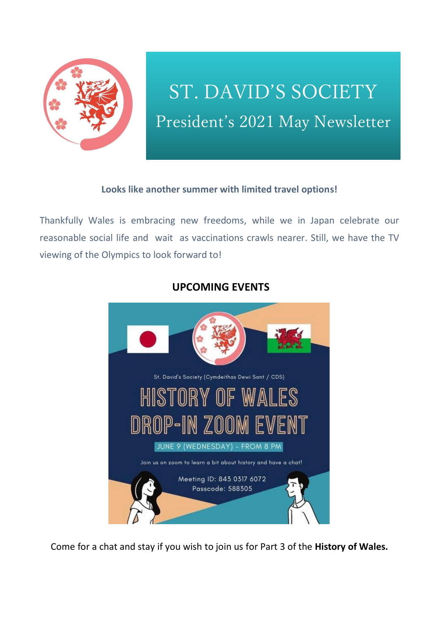

# ST. DAVID'S SOCIETY President's 2021 May Newsletter

#### **Looks like another summer with limited travel options!**

Thankfully Wales is embracing new freedoms, while we in Japan celebrate our reasonable social life and wait as vaccinations crawls nearer. Still, we have the TV viewing of the Olympics to look forward to!



### **UPCOMING EVENTS**

Come for a chat and stay if you wish to join us for Part 3 of the **History of Wales.**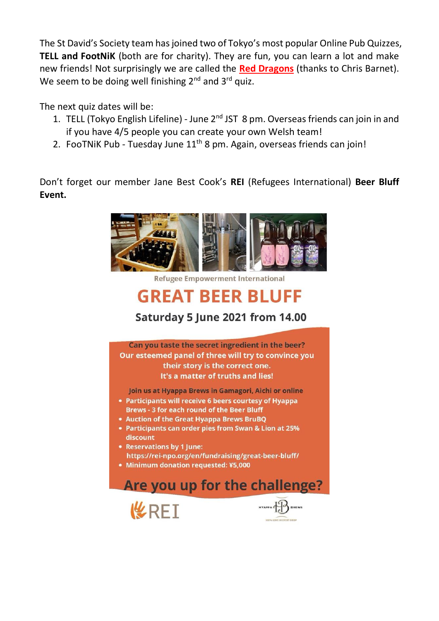The St David's Society team has joined two of Tokyo's most popular Online Pub Quizzes, **TELL and FootNiK** (both are for charity). They are fun, you can learn a lot and make new friends! Not surprisingly we are called the **Red Dragons** (thanks to Chris Barnet). We seem to be doing well finishing 2<sup>nd</sup> and 3<sup>rd</sup> quiz.

The next quiz dates will be:

- 1. TELL (Tokyo English Lifeline) June  $2<sup>nd</sup> JST 8 pm$ . Overseas friends can join in and if you have 4/5 people you can create your own Welsh team!
- 2. FooTNiK Pub Tuesday June  $11<sup>th</sup>$  8 pm. Again, overseas friends can join!

Don't forget our member Jane Best Cook's **REI** (Refugees International) **Beer Bluff Event.**



# **GREAT BEER BLUFF**

# Saturday 5 June 2021 from 14.00

Can you taste the secret ingredient in the beer? Our esteemed panel of three will try to convince you their story is the correct one. It's a matter of truths and lies!

Join us at Hyappa Brews in Gamagori, Aichi or online

- Participants will receive 6 beers courtesy of Hyappa Brews - 3 for each round of the Beer Bluff
- Auction of the Great Hyappa Brews BruBQ
- Participants can order pies from Swan & Lion at 25% discount
- Reservations by 1 June: https://rei-npo.org/en/fundraising/great-beer-bluff/
- Minimum donation requested: ¥5,000





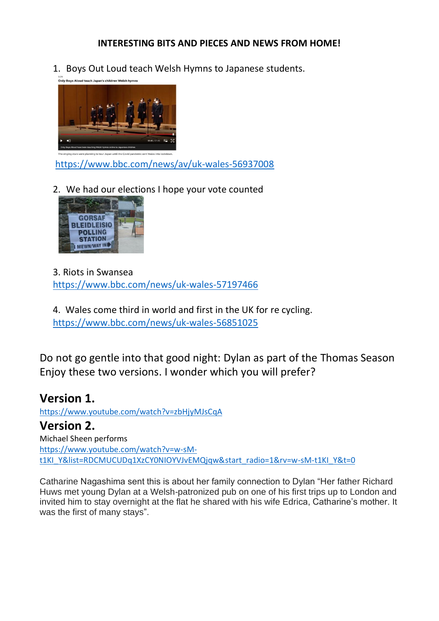#### **INTERESTING BITS AND PIECES AND NEWS FROM HOME!**

1. Boys Out Loud teach Welsh Hymns to Japanese students.



<https://www.bbc.com/news/av/uk-wales-56937008>

2. We had our elections I hope your vote counted



3. Riots in Swansea <https://www.bbc.com/news/uk-wales-57197466>

4. Wales come third in world and first in the UK for re cycling. <https://www.bbc.com/news/uk-wales-56851025>

Do not go gentle into that good night: Dylan as part of the Thomas Season Enjoy these two versions. I wonder which you will prefer?

## **Version 1.**

<https://www.youtube.com/watch?v=zbHjyMJsCqA> **Version 2.** Michael Sheen performs [https://www.youtube.com/watch?v=w-sM](https://www.youtube.com/watch?v=w-sM-t1KI_Y&list=RDCMUCUDq1XzCY0NIOYVJvEMQjqw&start_radio=1&rv=w-sM-t1KI_Y&t=0)[t1KI\\_Y&list=RDCMUCUDq1XzCY0NIOYVJvEMQjqw&start\\_radio=1&rv=w-sM-t1KI\\_Y&t=0](https://www.youtube.com/watch?v=w-sM-t1KI_Y&list=RDCMUCUDq1XzCY0NIOYVJvEMQjqw&start_radio=1&rv=w-sM-t1KI_Y&t=0)

Catharine Nagashima sent this is about her family connection to Dylan "Her father Richard Huws met young Dylan at a Welsh-patronized pub on one of his first trips up to London and invited him to stay overnight at the flat he shared with his wife Edrica, Catharine's mother. It was the first of many stays".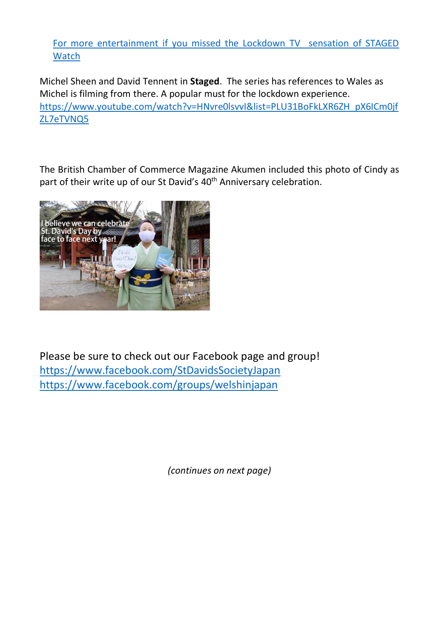For more entertainment if you missed the Lockdown TV sensation of STAGED **Watch** 

Michel Sheen and David Tennent in **Staged**. The series has references to Wales as Michel is filming from there. A popular must for the lockdown experience. [https://www.youtube.com/watch?v=HNvre0lsvvI&list=PLU31BoFkLXR6ZH\\_pX6ICm0jf](https://www.youtube.com/watch?v=HNvre0lsvvI&list=PLU31BoFkLXR6ZH_pX6ICm0jfZL7eTVNQ5) [ZL7eTVNQ5](https://www.youtube.com/watch?v=HNvre0lsvvI&list=PLU31BoFkLXR6ZH_pX6ICm0jfZL7eTVNQ5)

The British Chamber of Commerce Magazine Akumen included this photo of Cindy as part of their write up of our St David's 40<sup>th</sup> Anniversary celebration.



Please be sure to check out our Facebook page and group! <https://www.facebook.com/StDavidsSocietyJapan> <https://www.facebook.com/groups/welshinjapan>

*(continues on next page)*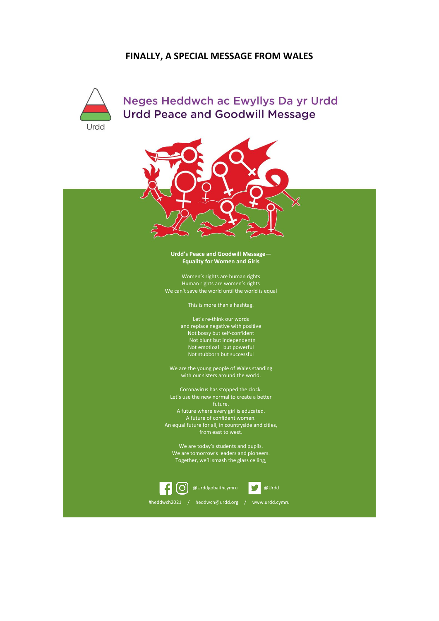#### **FINALLY, A SPECIAL MESSAGE FROM WALES**



Neges Heddwch ac Ewyllys Da yr Urdd **Urdd Peace and Goodwill Message** 



**Urdd'<sup>s</sup> Peace and Goodwill Message— Equality for Women and Girls**

Women'<sup>s</sup> rights are human rights Human rights are women'<sup>s</sup> rights We can'<sup>t</sup> save the world until the world is equal

This is more than <sup>a</sup> hashtag.

Let'<sup>s</sup> re-think our words and replace negative with positive Not bossy but self-confident Not blunt but independent n Not emotio al but powerful Not stubborn but successful

We are the young people of Wales standing with our sisters around the world.

Coronavirus has stopped the clock. Let'<sup>s</sup> use the new normal to create <sup>a</sup> better future. A future where every girl is educated. A future of confident women. An equal future for all, in countryside and cities, from east to west.

We are today'<sup>s</sup> students and pupils. We are tomorrow'<sup>s</sup> leaders and pioneers. Together, we'll smash the glass ceiling,